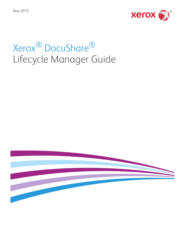

# Xerox® DocuShare® Lifecycle Manager Guide

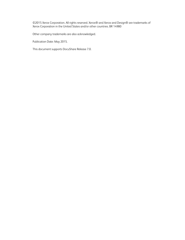©2015 Xerox Corporation. All rights reserved. Xerox® and Xerox and Design® are trademarks of Xerox Corporation in the United States and/or other countries. BR 14980

Other company trademarks are also acknowledged.

Publication Date: May 2015.

This document supports DocuShare Release 7.0.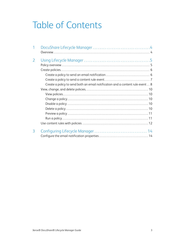## Table of Contents

| $\overline{2}$ |                                                                               |  |
|----------------|-------------------------------------------------------------------------------|--|
|                |                                                                               |  |
|                |                                                                               |  |
|                |                                                                               |  |
|                |                                                                               |  |
|                | Create a policy to send both an email notification and a content rule event 8 |  |
|                |                                                                               |  |
|                |                                                                               |  |
|                |                                                                               |  |
|                |                                                                               |  |
|                |                                                                               |  |
|                |                                                                               |  |
|                |                                                                               |  |
|                |                                                                               |  |
| 3              |                                                                               |  |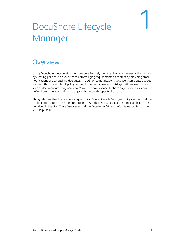# <span id="page-3-0"></span>DocuShare Lifecycle Manager

### <span id="page-3-1"></span>**Overview**

Using DocuShare Lifecycle Manager you can effectively manage all of your time-sensitive content by creating policies. A policy helps to enforce aging requirements on content by providing email notifications of approaching due dates. In addition to notifications, CPX users can create policies for use with content rules. A policy can send a content rule event to trigger a time-based action, such as document archiving or review. You create policies for collections on your site. Policies run at defined time intervals and act on objects that meet the specified criteria.

This guide describes the features unique to DocuShare Lifecycle Manager: policy creation and the configuration pages in the Administration UI. All other DocuShare features and capabilities are described in the *DocuShare User Guide* and the *DocuShare Administrator Guide* located on the site Help Desk.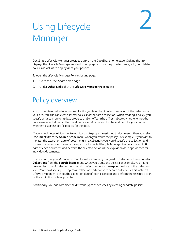# <span id="page-4-0"></span>Using Lifecycle Manager

DocuShare Lifecycle Manager provides a link on the DocuShare home page. Clicking the link displays the Lifecycle Manager Policies Listing page. You use the page to create, edit, and delete policies as well as to display all of your policies.

To open the Lifecycle Manager Policies Listing page:

- 1. Go to the DocuShare home page.
- 2. Under **Other Links**, click the **Lifecycle Manager Policies** link.

### <span id="page-4-1"></span>Policy overview

You can create a policy for a single collection, a hierarchy of collections, or all of the collections on your site. You also can create several policies for the same collection. When creating a policy, you specify what to monitor: a date property and an offset (the offset indicates whether or not the policy executes before or after the date property) or an exact date. Additionally, you choose whether to search specific objects for the date.

If you want Lifecycle Manager to monitor a date property assigned to documents, then you select **Documents** from the **Search Scope** menu when you create the policy. For example, if you want to monitor the expiration date of documents in a collection, you would specify the collection and choose documents for the search scope. This instructs Lifecycle Manager to check the expiration date of each document and perform the selected action as the expiration date approaches for individual documents.

If you want Lifecycle Manager to monitor a date property assigned to collections, then you select **Collections** from the **Search Scope** menu when you create the policy. For example, you might have a hierarchy of collections and would prefer to monitor the expiration date at the collection level. You would specify the top-most collection and choose to search collections. This instructs Lifecycle Manager to check the expiration date of each collection and perform the selected action as the expiration date approaches.

Additionally, you can combine the different types of searches by creating separate policies.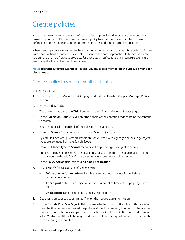### <span id="page-5-0"></span>Create policies

You can create a policy to receive notification of an approaching deadline or after a date has passed. If you are a CPX user, you can create a policy to either start an automated process as defined in a content rule or start an automated process and send an email notification.

When creating a policy, you can use the expiration date property to track a future date. For future dates, notifications or content rule events are sent as the date approaches. To track a past date, you can use the modified date property. For past dates, notifications or content rule events are sent a specified time after the date occurred.

**Note: To create Lifecycle Manager Policies, you must be a member of the Lifecycle Manager Users group.** 

#### <span id="page-5-1"></span>Create a policy to send an email notification

To create a policy:

- 1. Open the Lifecycle Manager Policies page and click the **Create Lifecycle Manager Policy**  button.
- 2. Enter a **Policy Title**.

The title appears under the **Title** heading on the Lifecycle Manager Policies page.

3. In the **Collection Handle** field, enter the handle of the collection that contains the content to search.

You can enter **all** to search all of the collections on your site.

4. From the **Search Scope** menu, select a DocuShare object type.

By default; User, Group, Version, Rendition, Topic, Event, WeblogEntry, and WikiPage object types are excluded from the Search Scope.

5. From the **Object Type to Search** menu, select a specific type of object to search.

Choices displayed in this menu are based on your selection from the Search Scope menu, and include the default DocuShare object type and any custom object types.

- 6. In the **Policy Action** field, select **Send email notification**.
- 7. In the **Notify** field, select one of the following:
	- **Before or on a future date**—Find objects a specified amount of time before a property date value.
	- **After a past date**—Find objects a specified amount of time after a property date value.
	- **On a specific date**—Find objects on a specified date.
- 8. Depending on your selection in step 7, enter the needed date information.
- 9. In the **Include Past Due Objects** field, choose whether or not to find objects that were in the collection before you created the policy and the date property to monitor is before the policy creation date. For example, if you chose to monitor the expiration date of documents, select **Yes** to have Lifecycle Manager find documents whose expiration dates are before the date the policy was created.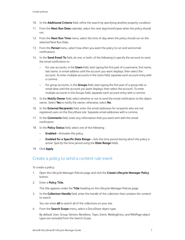- 10. In the **Additional Criteria** field, refine the search by specifying another property condition.
- 11. From the **Next Run Date** calendar, select the next day/month/year when the policy should run.
- 12. From the **Next Run Time** menu, select the time of day when the policy should run on the selected Next Run Date.
- 13. From the **Period** menu, select how often you want the policy to run and send email notifications.
- 14. In the **Send Email To** field, do one, or both, of the following to specify the account to send the email notification to:
	- For user accounts, in the **Users** field, start typing the first part of a username, first name, last name, or email address until the account you want displays; then select the account. To enter multiple accounts in the Users field, separate each account entry with a comma.
	- For group accounts, in the **Groups** field, start typing the first part of a group title or email alias until the account you want displays; then select the account. To enter multiple accounts in the Groups field, separate each account entry with a comma.
- 15. In the **Notify Owner** field, select whether or not to send the email notification to the object owner. Select **Yes** to notify the owner; otherwise, select **No**.
- 16. In the **External Recipients** field, enter the email addresses for recipients who are not registered users on the DocuShare site. Separate email addresses with a comma.
- 17. In the **Comments** field, enter any information that you want sent with the email notification.
- 18. In the **Policy Status** field, select one of the following:
	- **Enabled**—Activates the policy.
	- **Enabled for a Specific Date Range**—Sets the time period during which the policy is active. Specify the time period using the **Date Range** fields.
- 19. Click **Apply**.

#### <span id="page-6-0"></span>Create a policy to send a content rule event

To create a policy:

- 1. Open the Lifecycle Manager Policies page and click the **Create Lifecycle Manager Policy**  button.
- 2. Enter a **Policy Title**.

The title appears under the **Title** heading on the Lifecycle Manager Policies page.

3. In the **Collection Handle** field, enter the handle of the collection that contains the content to search.

You can enter **all** to search all of the collections on your site.

4. From the **Search Scope** menu, select a DocuShare object type.

By default; User, Group, Version, Rendition, Topic, Event, WeblogEntry, and WikiPage object types are excluded from the Search Scope.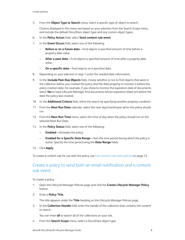5. From the **Object Type to Search** menu, select a specific type of object to search.

Choices displayed in this menu are based on your selection from the Search Scope menu, and include the default DocuShare object type and any custom object types.

- 6. In the **Policy Action** field, select **Send content rule event**.
- 7. In the **Event Occurs** field, select one of the following:
	- **Before or on a future date**—Find objects a specified amount of time before a property date value.
	- **After a past date**—Find objects a specified amount of time after a property date value.
	- **On a specific date**—Find objects on a specified date.
- 8. Depending on your selection in step 7, enter the needed date information.
- 9. In the **Include Past Due Objects** field, choose whether or not to find objects that were in the collection before you created the policy and the date property to monitor is before the policy creation date. For example, if you chose to monitor the expiration date of documents, select **Yes** to have Lifecycle Manager find documents whose expiration dates are before the date the policy was created.
- 10. In the **Additional Criteria** field, refine the search by specifying another property condition.
- 11. From the **Next Run Date** calendar, select the next day/month/year when the policy should run.
- 12. From the **Next Run Time** menu, select the time of day when the policy should run on the selected Next Run Date.
- 13. In the **Policy Status** field, select one of the following:
	- **Enabled**—Activates the policy.
	- **Enabled for a Specific Date Range**—Sets the time period during which the policy is active. Specify the time period using the **Date Range** fields.
- 14. Click **Apply**.

To create a content rule for use with the policy, see [Use content rules with policies on page 12.](#page-11-0)

#### <span id="page-7-0"></span>Create a policy to send both an email notification and a content rule event

To create a policy:

- 1. Open the Lifecycle Manager Policies page and click the **Create Lifecycle Manager Policy** button.
- 2. Enter a **Policy Title**.

The title appears under the **Title** heading on the Lifecycle Manager Policies page.

3. In the **Collection Handle** field, enter the handle of the collection that contains the content to search.

You can enter **all** to search all of the collections on your site.

4. From the **Search Scope** menu, select a DocuShare object type.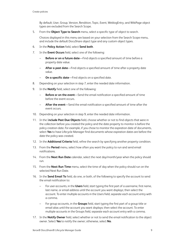By default; User, Group, Version, Rendition, Topic, Event, WeblogEntry, and WikiPage object types are excluded from the Search Scope.

5. From the **Object Type to Search** menu, select a specific type of object to search.

Choices displayed in this menu are based on your selection from the Search Scope menu, and include the default DocuShare object type and any custom object types.

- 6. In the **Policy Action** field, select **Send both**.
- 7. In the **Event Occurs** field, select one of the following:
	- **Before or on a future date**—Find objects a specified amount of time before a property date value.
	- **After a past date**—Find objects a specified amount of time after a property date value.
	- **On a specific date**—Find objects on a specified date.
- 8. Depending on your selection in step 7, enter the needed date information.
- 9. In the **Notify** field, select one of the following:
	- **Before or on the event**—Send the email notification a specified amount of time before the event occurs.
	- **After the event**—Send the email notification a specified amount of time after the event occurs.
- 10. Depending on your selection in step 9, enter the needed date information.
- 11. In the I**nclude Past Due Objects** field, choose whether or not to find objects that were in the collection before you created the policy and the date property to monitor is before the policy creation date. For example, if you chose to monitor the expiration date of documents, select **Yes** to have Lifecycle Manager find documents whose expiration dates are before the date the policy was created.
- 12. In the **Additional Criteria** field, refine the search by specifying another property condition.
- 13. From the **Period** menu, select how often you want the policy to run and send email notifications.
- 14. From the **Next Run Date** calendar, select the next day/month/year when the policy should run.
- 15. From the **Next Run Time** menu, select the time of day when the policy should run on the selected Next Run Date.
- 16. In the **Send Email To** field, do one, or both, of the following to specify the account to send the email notification to:
	- For user accounts, in the **Users** field, start typing the first part of a username, first name, last name, or email address until the account you want displays; then select the account. To enter multiple accounts in the Users field, separate each account entry with a comma.
	- For group accounts, in the **Groups** field, start typing the first part of a group title or email alias until the account you want displays; then select the account. To enter multiple accounts in the Groups field, separate each account entry with a comma.
- 17. In the **Notify Owner** field, select whether or not to send the email notification to the object owner. Select **Yes** to notify the owner; otherwise, select **No**.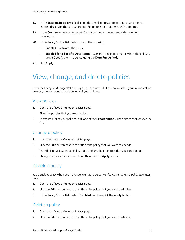- 18. In the **External Recipients** field, enter the email addresses for recipients who are not registered users on the DocuShare site. Separate email addresses with a comma.
- 19. In the **Comments** field, enter any information that you want sent with the email notification.
- 20. In the **Policy Status** field, select one of the following:
	- **Enabled**—Activates the policy.
	- **Enabled for a Specific Date Range**—Sets the time period during which the policy is active. Specify the time period using the **Date Range** fields.
- 21. Click **Apply**.

### <span id="page-9-0"></span>View, change, and delete policies

From the Lifecycle Manager Policies page, you can view all of the policies that you own as well as preview, change, disable, or delete any of your policies.

#### <span id="page-9-1"></span>View policies

1. Open the Lifecycle Manager Policies page.

All of the policies that you own display.

2. To export a list of your policies, click one of the **Export options**. Then either open or save the file.

#### <span id="page-9-2"></span>Change a policy

- 1. Open the Lifecycle Manager Policies page.
- 2. Click the **Edit** button next to the title of the policy that you want to change.

The Edit Lifecycle Manager Policy page displays the properties that you can change.

3. Change the properties you want and then click the **Apply** button.

#### <span id="page-9-3"></span>Disable a policy

You disable a policy when you no longer want it to be active. You can enable the policy at a later date.

- 1. Open the Lifecycle Manager Policies page.
- 2. Click the **Edit** button next to the title of the policy that you want to disable.
- 3. In the **Policy Status** field, select **Disabled** and then click the **Apply** button.

#### <span id="page-9-4"></span>Delete a policy

- 1. Open the Lifecycle Manager Policies page.
- 2. Click the **Edit** button next to the title of the policy that you want to delete.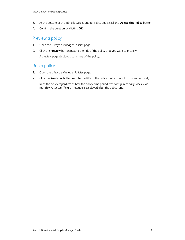- 3. At the bottom of the Edit Lifecycle Manager Policy page, click the **Delete this Policy** button.
- 4. Confirm the deletion by clicking **OK**.

#### <span id="page-10-0"></span>Preview a policy

- 1. Open the Lifecycle Manager Policies page.
- 2. Click the **Preview** button next to the title of the policy that you want to preview. A preview page displays a summary of the policy.

#### <span id="page-10-1"></span>Run a policy

- 1. Open the Lifecycle Manager Policies page.
- 2. Click the **Run Now** button next to the title of the policy that you want to run immediately.

Runs the policy regardless of how the policy time period was configured: daily, weekly, or monthly. A success/failure message is displayed after the policy runs.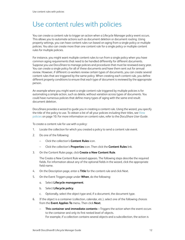### <span id="page-11-0"></span>Use content rules with policies

You can create a content rule to trigger an action when a Lifecycle Manager policy event occurs. This allows you to automate actions such as document deletion or document routing. Using property settings, you can have content rules run based on aging from a single policy or multiple policies. You also can create more than one content rule for a single policy or multiple content rules for multiple policies.

For instance, you might want multiple content rules to run from a single policy when you have common aging requirements that need to be handled differently for different documents. Suppose you use DocuShare to manage policies and procedures that must be reviewed every year. You can create a single policy for all of these documents and have them sent out for annual review. However, if different co-workers review certain types of documents, you can create several content rules that are triggered by the same policy. When creating each content rule, you define different property conditions to ensure that each type of document is reviewed by the appropriate person.

An example where you might want a single content rule triggered by multiple policies is for automating a simple action, such as delete, without variation across types of documents. You could have numerous policies that define many types of aging with the same end result: document deletion.

DocuShare provides a wizard to guide you in creating a content rule. Using the wizard, you specify the title of the policy to use. To obtain a list of all your policies including their titles, see [View](#page-9-1)  [policies on page 10.](#page-9-1) For more information on content rules, refer to the *DocuShare User Guide*.

To create a content rule for use with a policy:

- 1. Locate the collection for which you created a policy to send a content rule event.
- 2. Do one of the following:
	- Click the collection's **Content Rules** icon.
	- Click the collection's **Properties** icon. Then click the **Content Rules** link.
- 3. On the Content Rules page, click **Create a New Content Rule**.

The Create a New Content Rule wizard appears. The following steps describe the required fields. For information about any of the optional fields in the wizard, click the appropriate field name.

- 4. On the Description page, enter a **Title** for the content rule and click Next.
- 5. On the Event Triggers page under **When**, do the following:
	- a. Select **Lifecycle management**.
	- b. Select **Lifecycle policy**.
	- c. Optionally, select the object type and, if a document, the document type.
- 6. If the object is a container (collection, calendar, etc.), select one of the following choices from the **Event Applies To** menu. Then click **Next**.
	- **This container and immediate contents**—Triggers the action when the event occurs to the container and only its first nested level of objects. For example, if a collection contains several objects and a subcollection, the action is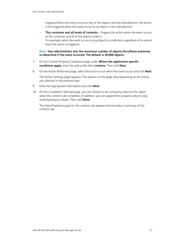triggered when the event occurs to any of the objects and the subcollection; the action is not triggered when the event occurs to an object in the subcollection.

– **This container and all levels of contents**—Triggers the action when the event occurs to the container and all of the objects under it. For example, when the event occurs to any object in a collection regardless of its nested level, the action is triggered.

**Note: Your administrator sets the maximum number of objects DocuShare examines to determine if the event occurred. The default is 30,000 objects.**

- 7. On the Content Property Conditions page under **Where the application specific conditions apply**, enter the policy title after **contains**. Then click **Next**.
- 8. On the Action Performed page, select the action to run when the event occurs and click **Next**.

The Action Settings page appears. The options on the page vary depending on the action you selected in the previous step.

- 9. Enter the appropriate information and click **Next**.
- 10. On the Completion Settings page, you can choose to set a property value on the object when the content rule completes. In addition, you can append the property value to any existing property values. Then click **Done**.

The View Properties page for the content rule appears and provides a summary of the content rule.